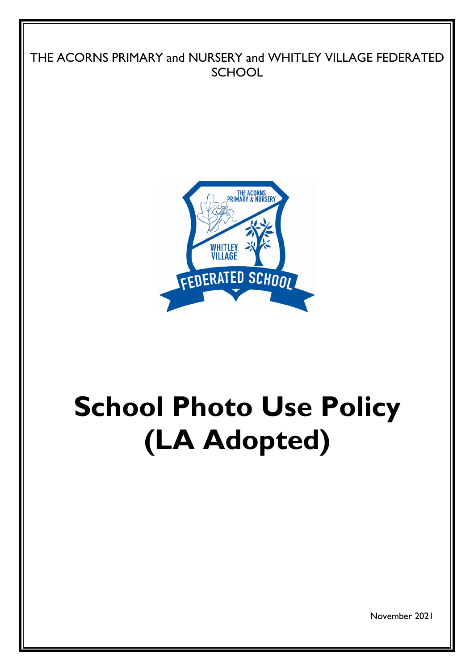



# **School Photo Use Policy (LA Adopted)**

November 2021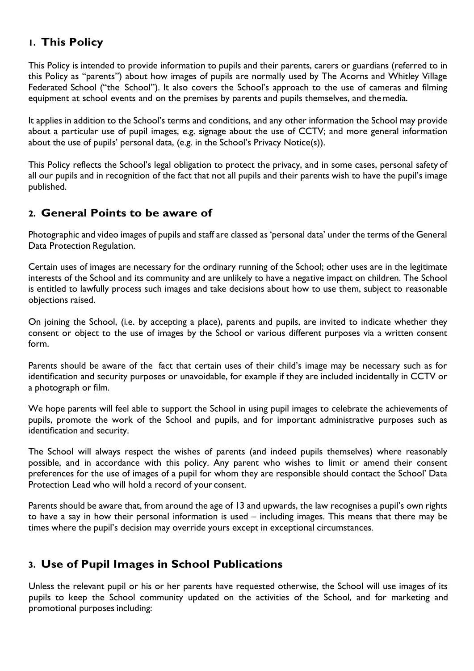# **1. This Policy**

This Policy is intended to provide information to pupils and their parents, carers or guardians (referred to in this Policy as "parents") about how images of pupils are normally used by The Acorns and Whitley Village Federated School ("the School"). It also covers the School's approach to the use of cameras and filming equipment at school events and on the premises by parents and pupils themselves, and themedia.

It applies in addition to the School's terms and conditions, and any other information the School may provide about a particular use of pupil images, e.g. signage about the use of CCTV; and more general information about the use of pupils' personal data, (e.g. in the School's Privacy Notice(s)).

This Policy reflects the School's legal obligation to protect the privacy, and in some cases, personal safety of all our pupils and in recognition of the fact that not all pupils and their parents wish to have the pupil's image published.

## **2. General Points to be aware of**

Photographic and video images of pupils and staff are classed as 'personal data' under the terms of the General Data Protection Regulation.

Certain uses of images are necessary for the ordinary running of the School; other uses are in the legitimate interests of the School and its community and are unlikely to have a negative impact on children. The School is entitled to lawfully process such images and take decisions about how to use them, subject to reasonable objections raised.

On joining the School, (i.e. by accepting a place), parents and pupils, are invited to indicate whether they consent or object to the use of images by the School or various different purposes via a written consent form.

Parents should be aware of the fact that certain uses of their child's image may be necessary such as for identification and security purposes or unavoidable, for example if they are included incidentally in CCTV or a photograph or film.

We hope parents will feel able to support the School in using pupil images to celebrate the achievements of pupils, promote the work of the School and pupils, and for important administrative purposes such as identification and security.

The School will always respect the wishes of parents (and indeed pupils themselves) where reasonably possible, and in accordance with this policy. Any parent who wishes to limit or amend their consent preferences for the use of images of a pupil for whom they are responsible should contact the School' Data Protection Lead who will hold a record of your consent.

Parents should be aware that, from around the age of 13 and upwards, the law recognises a pupil's own rights to have a say in how their personal information is used – including images. This means that there may be times where the pupil's decision may override yours except in exceptional circumstances.

## **3. Use of Pupil Images in School Publications**

Unless the relevant pupil or his or her parents have requested otherwise, the School will use images of its pupils to keep the School community updated on the activities of the School, and for marketing and promotional purposes including: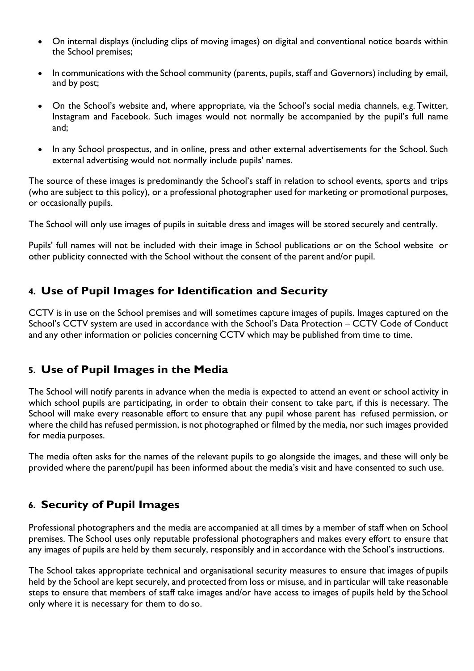- On internal displays (including clips of moving images) on digital and conventional notice boards within the School premises;
- In communications with the School community (parents, pupils, staff and Governors) including by email, and by post;
- On the School's website and, where appropriate, via the School's social media channels, e.g. Twitter, Instagram and Facebook. Such images would not normally be accompanied by the pupil's full name and;
- In any School prospectus, and in online, press and other external advertisements for the School. Such external advertising would not normally include pupils' names.

The source of these images is predominantly the School's staff in relation to school events, sports and trips (who are subject to this policy), or a professional photographer used for marketing or promotional purposes, or occasionally pupils.

The School will only use images of pupils in suitable dress and images will be stored securely and centrally.

Pupils' full names will not be included with their image in School publications or on the School website or other publicity connected with the School without the consent of the parent and/or pupil.

## **4. Use of Pupil Images for Identification and Security**

CCTV is in use on the School premises and will sometimes capture images of pupils. Images captured on the School's CCTV system are used in accordance with the School's Data Protection – CCTV Code of Conduct and any other information or policies concerning CCTV which may be published from time to time.

## **5. Use of Pupil Images in the Media**

The School will notify parents in advance when the media is expected to attend an event or school activity in which school pupils are participating, in order to obtain their consent to take part, if this is necessary. The School will make every reasonable effort to ensure that any pupil whose parent has refused permission, or where the child has refused permission, is not photographed or filmed by the media, nor such images provided for media purposes.

The media often asks for the names of the relevant pupils to go alongside the images, and these will only be provided where the parent/pupil has been informed about the media's visit and have consented to such use.

## **6. Security of Pupil Images**

Professional photographers and the media are accompanied at all times by a member of staff when on School premises. The School uses only reputable professional photographers and makes every effort to ensure that any images of pupils are held by them securely, responsibly and in accordance with the School's instructions.

The School takes appropriate technical and organisational security measures to ensure that images of pupils held by the School are kept securely, and protected from loss or misuse, and in particular will take reasonable steps to ensure that members of staff take images and/or have access to images of pupils held by the School only where it is necessary for them to do so.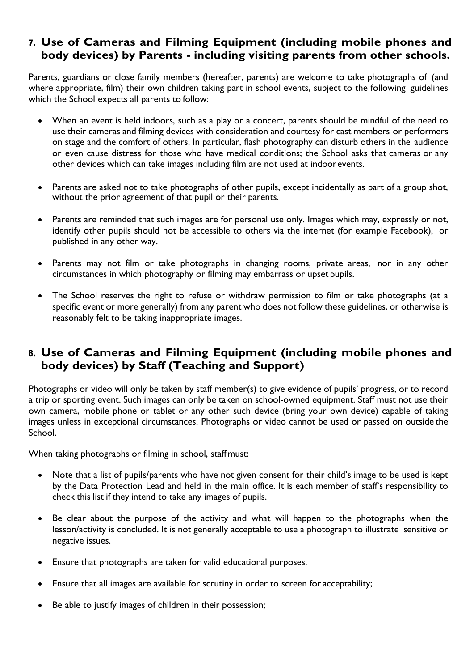### **7. Use of Cameras and Filming Equipment (including mobile phones and body devices) by Parents - including visiting parents from other schools.**

Parents, guardians or close family members (hereafter, parents) are welcome to take photographs of (and where appropriate, film) their own children taking part in school events, subject to the following guidelines which the School expects all parents to follow:

- When an event is held indoors, such as a play or a concert, parents should be mindful of the need to use their cameras and filming devices with consideration and courtesy for cast members or performers on stage and the comfort of others. In particular, flash photography can disturb others in the audience or even cause distress for those who have medical conditions; the School asks that cameras or any other devices which can take images including film are not used at indoorevents.
- Parents are asked not to take photographs of other pupils, except incidentally as part of a group shot, without the prior agreement of that pupil or their parents.
- Parents are reminded that such images are for personal use only. Images which may, expressly or not, identify other pupils should not be accessible to others via the internet (for example Facebook), or published in any other way.
- Parents may not film or take photographs in changing rooms, private areas, nor in any other circumstances in which photography or filming may embarrass or upset pupils.
- The School reserves the right to refuse or withdraw permission to film or take photographs (at a specific event or more generally) from any parent who does not follow these guidelines, or otherwise is reasonably felt to be taking inappropriate images.

## **8. Use of Cameras and Filming Equipment (including mobile phones and body devices) by Staff (Teaching and Support)**

Photographs or video will only be taken by staff member(s) to give evidence of pupils' progress, or to record a trip or sporting event. Such images can only be taken on school-owned equipment. Staff must not use their own camera, mobile phone or tablet or any other such device (bring your own device) capable of taking images unless in exceptional circumstances. Photographs or video cannot be used or passed on outside the School.

When taking photographs or filming in school, staffmust:

- Note that a list of pupils/parents who have not given consent for their child's image to be used is kept by the Data Protection Lead and held in the main office. It is each member of staff's responsibility to check this list if they intend to take any images of pupils.
- Be clear about the purpose of the activity and what will happen to the photographs when the lesson/activity is concluded. It is not generally acceptable to use a photograph to illustrate sensitive or negative issues.
- Ensure that photographs are taken for valid educational purposes.
- Ensure that all images are available for scrutiny in order to screen for acceptability;
- Be able to justify images of children in their possession;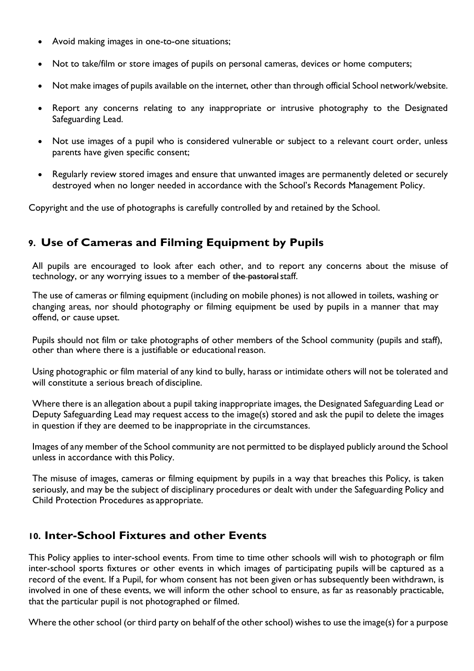- Avoid making images in one-to-one situations;
- Not to take/film or store images of pupils on personal cameras, devices or home computers;
- Not make images of pupils available on the internet, other than through official School network/website.
- Report any concerns relating to any inappropriate or intrusive photography to the Designated Safeguarding Lead.
- Not use images of a pupil who is considered vulnerable or subject to a relevant court order, unless parents have given specific consent;
- Regularly review stored images and ensure that unwanted images are permanently deleted or securely destroyed when no longer needed in accordance with the School's Records Management Policy.

Copyright and the use of photographs is carefully controlled by and retained by the School.

## **9. Use of Cameras and Filming Equipment by Pupils**

All pupils are encouraged to look after each other, and to report any concerns about the misuse of technology, or any worrying issues to a member of the pastoral staff.

The use of cameras or filming equipment (including on mobile phones) is not allowed in toilets, washing or changing areas, nor should photography or filming equipment be used by pupils in a manner that may offend, or cause upset.

Pupils should not film or take photographs of other members of the School community (pupils and staff), other than where there is a justifiable or educational reason.

Using photographic or film material of any kind to bully, harass or intimidate others will not be tolerated and will constitute a serious breach of discipline.

Where there is an allegation about a pupil taking inappropriate images, the Designated Safeguarding Lead or Deputy Safeguarding Lead may request access to the image(s) stored and ask the pupil to delete the images in question if they are deemed to be inappropriate in the circumstances.

Images of any member of the School community are not permitted to be displayed publicly around the School unless in accordance with this Policy.

The misuse of images, cameras or filming equipment by pupils in a way that breaches this Policy, is taken seriously, and may be the subject of disciplinary procedures or dealt with under the Safeguarding Policy and Child Protection Procedures as appropriate.

### **10. Inter-School Fixtures and other Events**

This Policy applies to inter-school events. From time to time other schools will wish to photograph or film inter-school sports fixtures or other events in which images of participating pupils will be captured as a record of the event. If a Pupil, for whom consent has not been given orhas subsequently been withdrawn, is involved in one of these events, we will inform the other school to ensure, as far as reasonably practicable, that the particular pupil is not photographed or filmed.

Where the other school (or third party on behalf of the other school) wishes to use the image(s) for a purpose